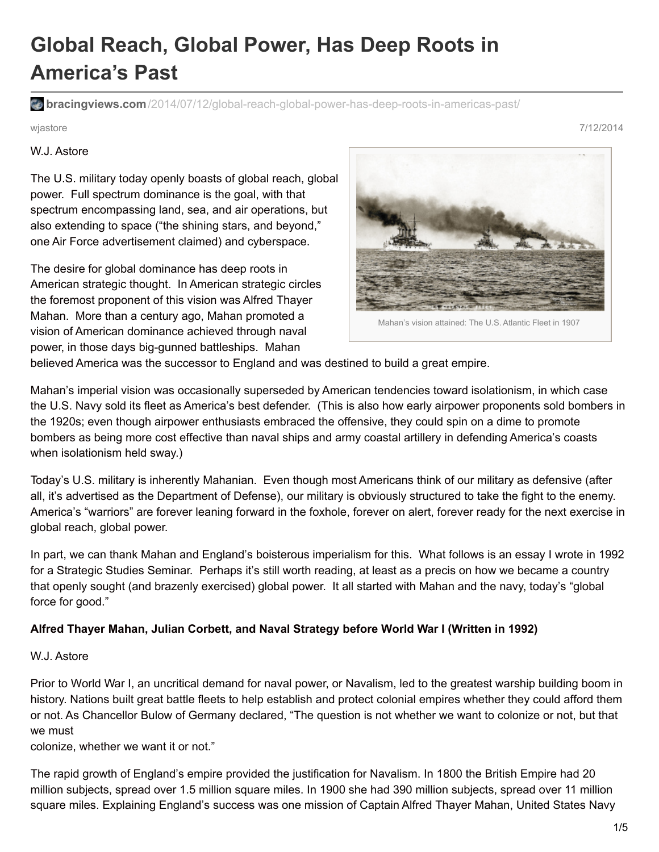## **Global Reach, Global Power, Has Deep Roots in America's Past**

**bracingviews.com**[/2014/07/12/global-reach-global-power-has-deep-roots-in-americas-past/](https://bracingviews.com/2014/07/12/global-reach-global-power-has-deep-roots-in-americas-past/)

W.J. Astore

The U.S. military today openly boasts of global reach, global power. Full spectrum dominance is the goal, with that spectrum encompassing land, sea, and air operations, but also extending to space ("the shining stars, and beyond," one Air Force advertisement claimed) and cyberspace.

The desire for global dominance has deep roots in American strategic thought. In American strategic circles the foremost proponent of this vision was Alfred Thayer Mahan. More than a century ago, Mahan promoted a vision of American dominance achieved through naval power, in those days big-gunned battleships. Mahan



believed America was the successor to England and was destined to build a great empire.

Mahan's imperial vision was occasionally superseded by American tendencies toward isolationism, in which case the U.S. Navy sold its fleet as America's best defender. (This is also how early airpower proponents sold bombers in the 1920s; even though airpower enthusiasts embraced the offensive, they could spin on a dime to promote bombers as being more cost effective than naval ships and army coastal artillery in defending America's coasts when isolationism held sway.)

Today's U.S. military is inherently Mahanian. Even though most Americans think of our military as defensive (after all, it's advertised as the Department of Defense), our military is obviously structured to take the fight to the enemy. America's "warriors" are forever leaning forward in the foxhole, forever on alert, forever ready for the next exercise in global reach, global power.

In part, we can thank Mahan and England's boisterous imperialism for this. What follows is an essay I wrote in 1992 for a Strategic Studies Seminar. Perhaps it's still worth reading, at least as a precis on how we became a country that openly sought (and brazenly exercised) global power. It all started with Mahan and the navy, today's "global force for good."

## **Alfred Thayer Mahan, Julian Corbett, and Naval Strategy before World War I (Written in 1992)**

## W.J. Astore

Prior to World War I, an uncritical demand for naval power, or Navalism, led to the greatest warship building boom in history. Nations built great battle fleets to help establish and protect colonial empires whether they could afford them or not. As Chancellor Bulow of Germany declared, "The question is not whether we want to colonize or not, but that we must

colonize, whether we want it or not."

The rapid growth of England's empire provided the justification for Navalism. In 1800 the British Empire had 20 million subjects, spread over 1.5 million square miles. In 1900 she had 390 million subjects, spread over 11 million square miles. Explaining England's success was one mission of Captain Alfred Thayer Mahan, United States Navy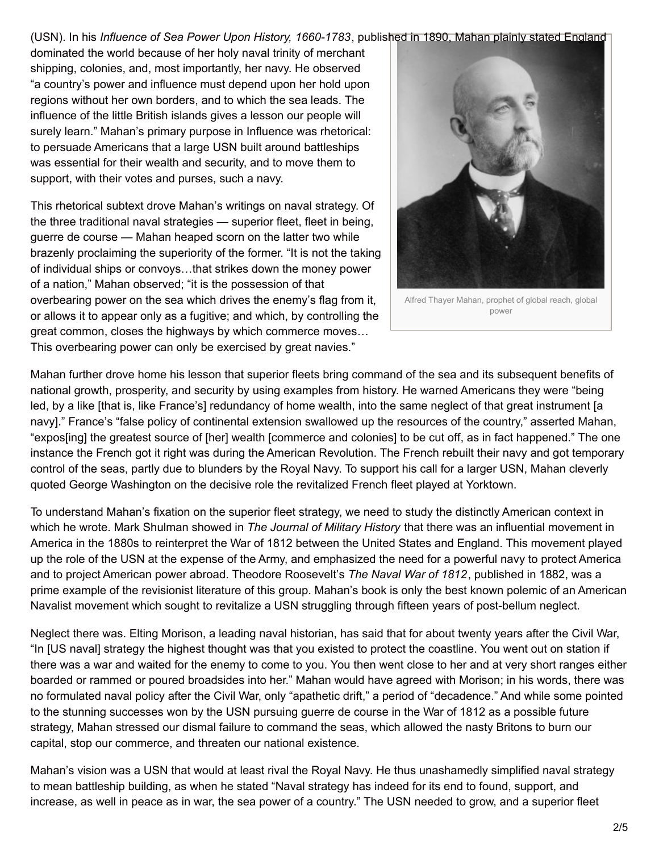(USN). In his *Influence of Sea Power Upon History, 1660-1783*, published in 1890, Mahan plainly stated England

dominated the world because of her holy naval trinity of merchant shipping, colonies, and, most importantly, her navy. He observed "a country's power and influence must depend upon her hold upon regions without her own borders, and to which the sea leads. The influence of the little British islands gives a lesson our people will surely learn." Mahan's primary purpose in Influence was rhetorical: to persuade Americans that a large USN built around battleships was essential for their wealth and security, and to move them to support, with their votes and purses, such a navy.

This rhetorical subtext drove Mahan's writings on naval strategy. Of the three traditional naval strategies — superior fleet, fleet in being, guerre de course — Mahan heaped scorn on the latter two while brazenly proclaiming the superiority of the former. "It is not the taking of individual ships or convoys…that strikes down the money power of a nation," Mahan observed; "it is the possession of that overbearing power on the sea which drives the enemy's flag from it, or allows it to appear only as a fugitive; and which, by controlling the great common, closes the highways by which commerce moves… This overbearing power can only be exercised by great navies."



Alfred Thayer Mahan, prophet of global reach, global power

Mahan further drove home his lesson that superior fleets bring command of the sea and its subsequent benefits of national growth, prosperity, and security by using examples from history. He warned Americans they were "being led, by a like [that is, like France's] redundancy of home wealth, into the same neglect of that great instrument [a navy]." France's "false policy of continental extension swallowed up the resources of the country," asserted Mahan, "expos[ing] the greatest source of [her] wealth [commerce and colonies] to be cut off, as in fact happened." The one instance the French got it right was during the American Revolution. The French rebuilt their navy and got temporary control of the seas, partly due to blunders by the Royal Navy. To support his call for a larger USN, Mahan cleverly quoted George Washington on the decisive role the revitalized French fleet played at Yorktown.

To understand Mahan's fixation on the superior fleet strategy, we need to study the distinctly American context in which he wrote. Mark Shulman showed in *The Journal of Military History* that there was an influential movement in America in the 1880s to reinterpret the War of 1812 between the United States and England. This movement played up the role of the USN at the expense of the Army, and emphasized the need for a powerful navy to protect America and to project American power abroad. Theodore Roosevelt's *The Naval War of 1812*, published in 1882, was a prime example of the revisionist literature of this group. Mahan's book is only the best known polemic of an American Navalist movement which sought to revitalize a USN struggling through fifteen years of post-bellum neglect.

Neglect there was. Elting Morison, a leading naval historian, has said that for about twenty years after the Civil War, "In [US naval] strategy the highest thought was that you existed to protect the coastline. You went out on station if there was a war and waited for the enemy to come to you. You then went close to her and at very short ranges either boarded or rammed or poured broadsides into her." Mahan would have agreed with Morison; in his words, there was no formulated naval policy after the Civil War, only "apathetic drift," a period of "decadence." And while some pointed to the stunning successes won by the USN pursuing guerre de course in the War of 1812 as a possible future strategy, Mahan stressed our dismal failure to command the seas, which allowed the nasty Britons to burn our capital, stop our commerce, and threaten our national existence.

Mahan's vision was a USN that would at least rival the Royal Navy. He thus unashamedly simplified naval strategy to mean battleship building, as when he stated "Naval strategy has indeed for its end to found, support, and increase, as well in peace as in war, the sea power of a country." The USN needed to grow, and a superior fleet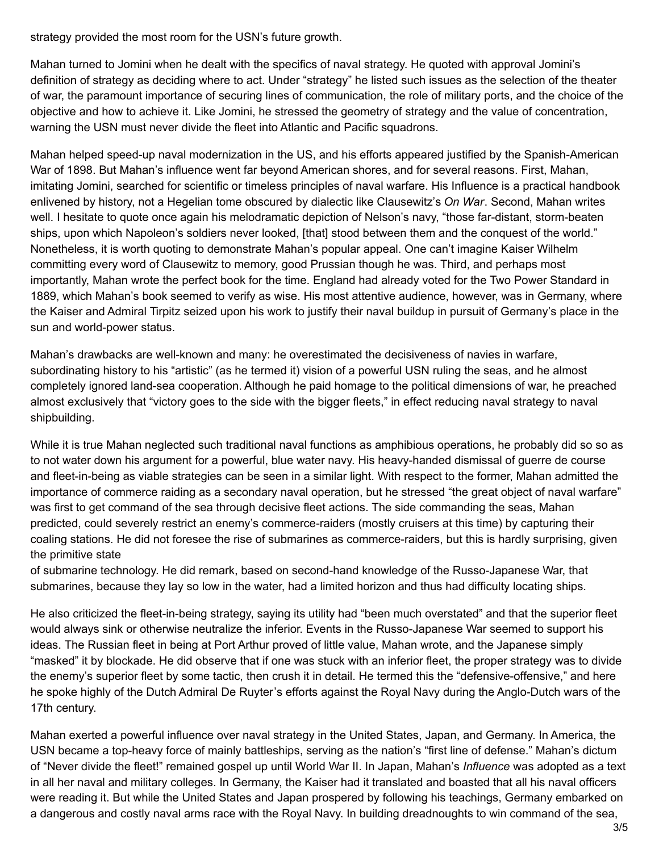strategy provided the most room for the USN's future growth.

Mahan turned to Jomini when he dealt with the specifics of naval strategy. He quoted with approval Jomini's definition of strategy as deciding where to act. Under "strategy" he listed such issues as the selection of the theater of war, the paramount importance of securing lines of communication, the role of military ports, and the choice of the objective and how to achieve it. Like Jomini, he stressed the geometry of strategy and the value of concentration, warning the USN must never divide the fleet into Atlantic and Pacific squadrons.

Mahan helped speed-up naval modernization in the US, and his efforts appeared justified by the Spanish-American War of 1898. But Mahan's influence went far beyond American shores, and for several reasons. First, Mahan, imitating Jomini, searched for scientific or timeless principles of naval warfare. His Influence is a practical handbook enlivened by history, not a Hegelian tome obscured by dialectic like Clausewitz's *On War*. Second, Mahan writes well. I hesitate to quote once again his melodramatic depiction of Nelson's navy, "those far-distant, storm-beaten ships, upon which Napoleon's soldiers never looked, [that] stood between them and the conquest of the world." Nonetheless, it is worth quoting to demonstrate Mahan's popular appeal. One can't imagine Kaiser Wilhelm committing every word of Clausewitz to memory, good Prussian though he was. Third, and perhaps most importantly, Mahan wrote the perfect book for the time. England had already voted for the Two Power Standard in 1889, which Mahan's book seemed to verify as wise. His most attentive audience, however, was in Germany, where the Kaiser and Admiral Tirpitz seized upon his work to justify their naval buildup in pursuit of Germany's place in the sun and world-power status.

Mahan's drawbacks are well-known and many: he overestimated the decisiveness of navies in warfare, subordinating history to his "artistic" (as he termed it) vision of a powerful USN ruling the seas, and he almost completely ignored land-sea cooperation. Although he paid homage to the political dimensions of war, he preached almost exclusively that "victory goes to the side with the bigger fleets," in effect reducing naval strategy to naval shipbuilding.

While it is true Mahan neglected such traditional naval functions as amphibious operations, he probably did so so as to not water down his argument for a powerful, blue water navy. His heavy-handed dismissal of guerre de course and fleet-in-being as viable strategies can be seen in a similar light. With respect to the former, Mahan admitted the importance of commerce raiding as a secondary naval operation, but he stressed "the great object of naval warfare" was first to get command of the sea through decisive fleet actions. The side commanding the seas, Mahan predicted, could severely restrict an enemy's commerce-raiders (mostly cruisers at this time) by capturing their coaling stations. He did not foresee the rise of submarines as commerce-raiders, but this is hardly surprising, given the primitive state

of submarine technology. He did remark, based on second-hand knowledge of the Russo-Japanese War, that submarines, because they lay so low in the water, had a limited horizon and thus had difficulty locating ships.

He also criticized the fleet-in-being strategy, saying its utility had "been much overstated" and that the superior fleet would always sink or otherwise neutralize the inferior. Events in the Russo-Japanese War seemed to support his ideas. The Russian fleet in being at Port Arthur proved of little value, Mahan wrote, and the Japanese simply "masked" it by blockade. He did observe that if one was stuck with an inferior fleet, the proper strategy was to divide the enemy's superior fleet by some tactic, then crush it in detail. He termed this the "defensive-offensive," and here he spoke highly of the Dutch Admiral De Ruyter's efforts against the Royal Navy during the Anglo-Dutch wars of the 17th century.

Mahan exerted a powerful influence over naval strategy in the United States, Japan, and Germany. In America, the USN became a top-heavy force of mainly battleships, serving as the nation's "first line of defense." Mahan's dictum of "Never divide the fleet!" remained gospel up until World War II. In Japan, Mahan's *Influence* was adopted as a text in all her naval and military colleges. In Germany, the Kaiser had it translated and boasted that all his naval officers were reading it. But while the United States and Japan prospered by following his teachings, Germany embarked on a dangerous and costly naval arms race with the Royal Navy. In building dreadnoughts to win command of the sea,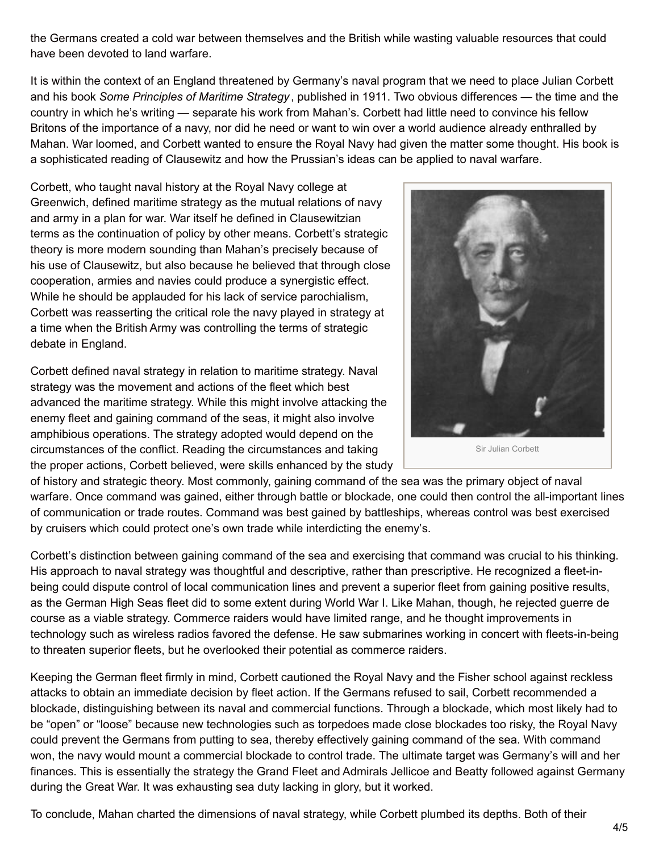the Germans created a cold war between themselves and the British while wasting valuable resources that could have been devoted to land warfare.

It is within the context of an England threatened by Germany's naval program that we need to place Julian Corbett and his book *Some Principles of Maritime Strategy* , published in 1911. Two obvious differences — the time and the country in which he's writing — separate his work from Mahan's. Corbett had little need to convince his fellow Britons of the importance of a navy, nor did he need or want to win over a world audience already enthralled by Mahan. War loomed, and Corbett wanted to ensure the Royal Navy had given the matter some thought. His book is a sophisticated reading of Clausewitz and how the Prussian's ideas can be applied to naval warfare.

Corbett, who taught naval history at the Royal Navy college at Greenwich, defined maritime strategy as the mutual relations of navy and army in a plan for war. War itself he defined in Clausewitzian terms as the continuation of policy by other means. Corbett's strategic theory is more modern sounding than Mahan's precisely because of his use of Clausewitz, but also because he believed that through close cooperation, armies and navies could produce a synergistic effect. While he should be applauded for his lack of service parochialism, Corbett was reasserting the critical role the navy played in strategy at a time when the British Army was controlling the terms of strategic debate in England.

Corbett defined naval strategy in relation to maritime strategy. Naval strategy was the movement and actions of the fleet which best advanced the maritime strategy. While this might involve attacking the enemy fleet and gaining command of the seas, it might also involve amphibious operations. The strategy adopted would depend on the circumstances of the conflict. Reading the circumstances and taking the proper actions, Corbett believed, were skills enhanced by the study



Sir Julian Corbett

of history and strategic theory. Most commonly, gaining command of the sea was the primary object of naval warfare. Once command was gained, either through battle or blockade, one could then control the all-important lines of communication or trade routes. Command was best gained by battleships, whereas control was best exercised by cruisers which could protect one's own trade while interdicting the enemy's.

Corbett's distinction between gaining command of the sea and exercising that command was crucial to his thinking. His approach to naval strategy was thoughtful and descriptive, rather than prescriptive. He recognized a fleet-inbeing could dispute control of local communication lines and prevent a superior fleet from gaining positive results, as the German High Seas fleet did to some extent during World War I. Like Mahan, though, he rejected guerre de course as a viable strategy. Commerce raiders would have limited range, and he thought improvements in technology such as wireless radios favored the defense. He saw submarines working in concert with fleets-in-being to threaten superior fleets, but he overlooked their potential as commerce raiders.

Keeping the German fleet firmly in mind, Corbett cautioned the Royal Navy and the Fisher school against reckless attacks to obtain an immediate decision by fleet action. If the Germans refused to sail, Corbett recommended a blockade, distinguishing between its naval and commercial functions. Through a blockade, which most likely had to be "open" or "loose" because new technologies such as torpedoes made close blockades too risky, the Royal Navy could prevent the Germans from putting to sea, thereby effectively gaining command of the sea. With command won, the navy would mount a commercial blockade to control trade. The ultimate target was Germany's will and her finances. This is essentially the strategy the Grand Fleet and Admirals Jellicoe and Beatty followed against Germany during the Great War. It was exhausting sea duty lacking in glory, but it worked.

To conclude, Mahan charted the dimensions of naval strategy, while Corbett plumbed its depths. Both of their